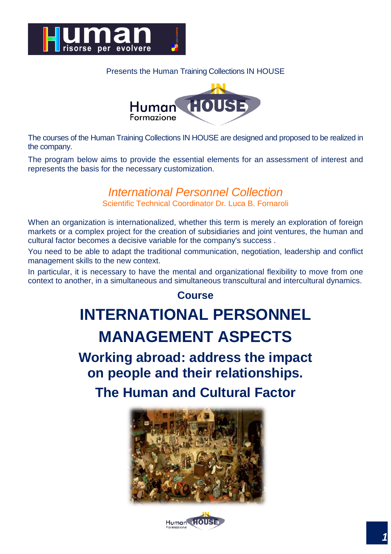

#### Presents the Human Training Collections IN HOUSE



The courses of the Human Training Collections IN HOUSE are designed and proposed to be realized in the company.

The program below aims to provide the essential elements for an assessment of interest and represents the basis for the necessary customization.

## *International Personnel Collection*

Scientific Technical Coordinator Dr. Luca B. Fornaroli

When an organization is internationalized, whether this term is merely an exploration of foreign markets or a complex project for the creation of subsidiaries and joint ventures, the human and cultural factor becomes a decisive variable for the company's success .

You need to be able to adapt the traditional communication, negotiation, leadership and conflict management skills to the new context.

In particular, it is necessary to have the mental and organizational flexibility to move from one context to another, in a simultaneous and simultaneous transcultural and intercultural dynamics.

#### **Course**

# **INTERNATIONAL PERSONNEL MANAGEMENT ASPECTS**

**Working abroad: address the impact on people and their relationships.**

**The Human and Cultural Factor**



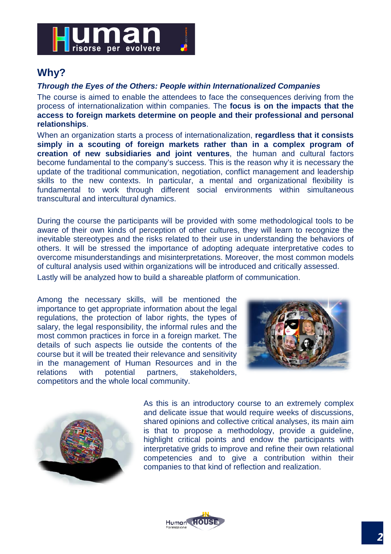

#### **Why?**

#### *Through the Eyes of the Others: People within Internationalized Companies*

The course is aimed to enable the attendees to face the consequences deriving from the process of internationalization within companies. The **focus is on the impacts that the access to foreign markets determine on people and their professional and personal relationships**.

When an organization starts a process of internationalization, **regardless that it consists simply in a scouting of foreign markets rather than in a complex program of creation of new subsidiaries and joint ventures**, the human and cultural factors become fundamental to the company's success. This is the reason why it is necessary the update of the traditional communication, negotiation, conflict management and leadership skills to the new contexts. In particular, a mental and organizational flexibility is fundamental to work through different social environments within simultaneous transcultural and intercultural dynamics.

During the course the participants will be provided with some methodological tools to be aware of their own kinds of perception of other cultures, they will learn to recognize the inevitable stereotypes and the risks related to their use in understanding the behaviors of others. It will be stressed the importance of adopting adequate interpretative codes to overcome misunderstandings and misinterpretations. Moreover, the most common models of cultural analysis used within organizations will be introduced and critically assessed.

Lastly will be analyzed how to build a shareable platform of communication.

Among the necessary skills, will be mentioned the importance to get appropriate information about the legal regulations, the protection of labor rights, the types of salary, the legal responsibility, the informal rules and the most common practices in force in a foreign market. The details of such aspects lie outside the contents of the course but it will be treated their relevance and sensitivity in the management of Human Resources and in the relations with potential partners, stakeholders, competitors and the whole local community.





As this is an introductory course to an extremely complex and delicate issue that would require weeks of discussions, shared opinions and collective critical analyses, its main aim is that to propose a methodology, provide a guideline, highlight critical points and endow the participants with interpretative grids to improve and refine their own relational competencies and to give a contribution within their companies to that kind of reflection and realization.

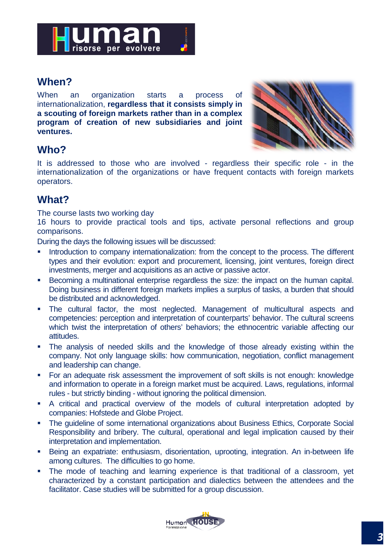

#### **When?**

When an organization starts a process of internationalization, **regardless that it consists simply in a scouting of foreign markets rather than in a complex program of creation of new subsidiaries and joint ventures.**



#### **Who?**

It is addressed to those who are involved - regardless their specific role - in the internationalization of the organizations or have frequent contacts with foreign markets operators.

### **What?**

The course lasts two working day

16 hours to provide practical tools and tips, activate personal reflections and group comparisons.

During the days the following issues will be discussed:

- **Introduction to company internationalization: from the concept to the process. The different** types and their evolution: export and procurement, licensing, joint ventures, foreign direct investments, merger and acquisitions as an active or passive actor.
- Becoming a multinational enterprise regardless the size: the impact on the human capital. Doing business in different foreign markets implies a surplus of tasks, a burden that should be distributed and acknowledged.
- The cultural factor, the most neglected. Management of multicultural aspects and competencies: perception and interpretation of counterparts' behavior. The cultural screens which twist the interpretation of others' behaviors; the ethnocentric variable affecting our attitudes.
- The analysis of needed skills and the knowledge of those already existing within the company. Not only language skills: how communication, negotiation, conflict management and leadership can change.
- **For an adequate risk assessment the improvement of soft skills is not enough: knowledge** and information to operate in a foreign market must be acquired. Laws, regulations, informal rules - but strictly binding - without ignoring the political dimension.
- A critical and practical overview of the models of cultural interpretation adopted by companies: Hofstede and Globe Project.
- The guideline of some international organizations about Business Ethics, Corporate Social Responsibility and bribery. The cultural, operational and legal implication caused by their interpretation and implementation.
- Being an expatriate: enthusiasm, disorientation, uprooting, integration. An in-between life among cultures. The difficulties to go home.
- The mode of teaching and learning experience is that traditional of a classroom, yet characterized by a constant participation and dialectics between the attendees and the facilitator. Case studies will be submitted for a group discussion.